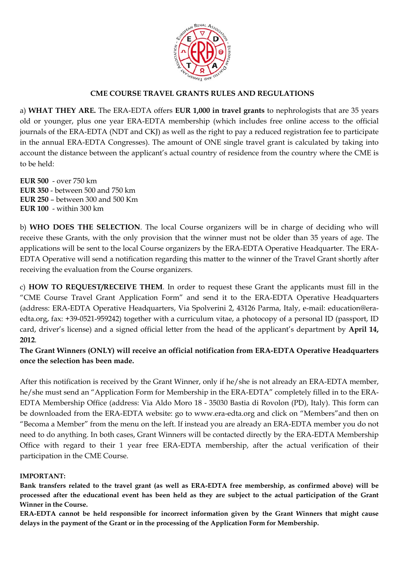

### **CME COURSE TRAVEL GRANTS RULES AND REGULATIONS**

a) **WHAT THEY ARE.** The ERA-EDTA offers **EUR 1,000 in travel grants** to nephrologists that are 35 years old or younger, plus one year ERA-EDTA membership (which includes free online access to the official journals of the ERA-EDTA (NDT and CKJ) as well as the right to pay a reduced registration fee to participate in the annual ERA-EDTA Congresses). The amount of ONE single travel grant is calculated by taking into account the distance between the applicant's actual country of residence from the country where the CME is to be held:

**EUR 500** - over 750 km **EUR 350** - between 500 and 750 km **EUR 250** – between 300 and 500 Km **EUR 100** - within 300 km

b) **WHO DOES THE SELECTION**. The local Course organizers will be in charge of deciding who will receive these Grants, with the only provision that the winner must not be older than 35 years of age. The applications will be sent to the local Course organizers by the ERA-EDTA Operative Headquarter. The ERA-EDTA Operative will send a notification regarding this matter to the winner of the Travel Grant shortly after receiving the evaluation from the Course organizers.

c) **HOW TO REQUEST/RECEIVE THEM**. In order to request these Grant the applicants must fill in the "CME Course Travel Grant Application Form" and send it to the ERA-EDTA Operative Headquarters (address: ERA-EDTA Operative Headquarters, Via Spolverini 2, 43126 Parma, Italy, e-mail: education@eraedta.org, fax: +39-0521-959242) together with a curriculum vitae, a photocopy of a personal ID (passport, ID card, driver's license) and a signed official letter from the head of the applicant's department by **April 14, 2012**.

**The Grant Winners (ONLY) will receive an official notification from ERA-EDTA Operative Headquarters once the selection has been made.** 

After this notification is received by the Grant Winner, only if he/she is not already an ERA-EDTA member, he/she must send an "Application Form for Membership in the ERA-EDTA" completely filled in to the ERA-EDTA Membership Office (address: Via Aldo Moro 18 - 35030 Bastia di Rovolon (PD), Italy). This form can be downloaded from the ERA-EDTA website: go to www.era-edta.org and click on "Members"and then on "Becoma a Member" from the menu on the left. If instead you are already an ERA-EDTA member you do not need to do anything. In both cases, Grant Winners will be contacted directly by the ERA-EDTA Membership Office with regard to their 1 year free ERA-EDTA membership, after the actual verification of their participation in the CME Course.

#### **IMPORTANT:**

**Bank transfers related to the travel grant (as well as ERA-EDTA free membership, as confirmed above) will be processed after the educational event has been held as they are subject to the actual participation of the Grant Winner in the Course.** 

**ERA-EDTA cannot be held responsible for incorrect information given by the Grant Winners that might cause delays in the payment of the Grant or in the processing of the Application Form for Membership.**